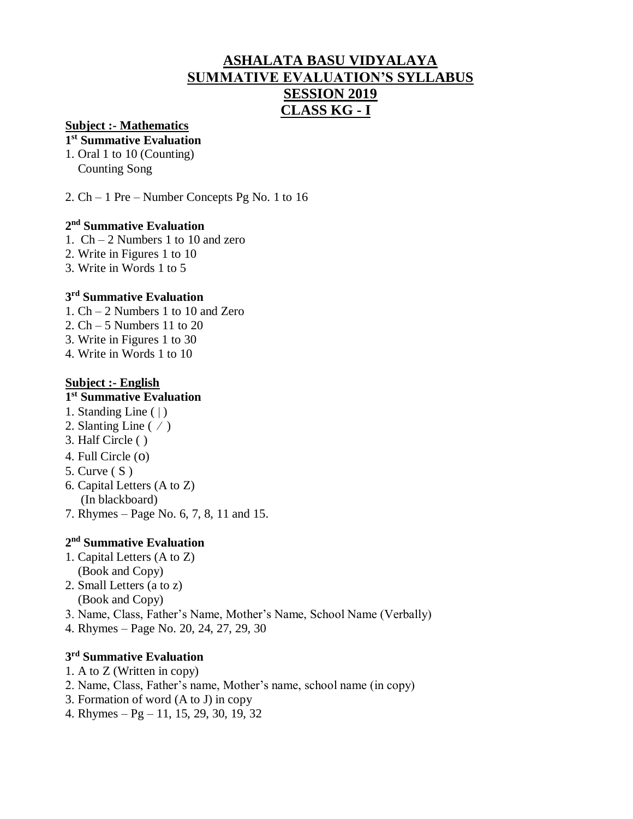# **ASHALATA BASU VIDYALAYA SUMMATIVE EVALUATION'S SYLLABUS SESSION 2019 CLASS KG - I**

#### **Subject :- Mathematics**

#### **1 st Summative Evaluation**

- 1. Oral 1 to 10 (Counting) Counting Song
- 2. Ch 1 Pre Number Concepts Pg No. 1 to 16

#### **2 nd Summative Evaluation**

- 1. Ch 2 Numbers 1 to 10 and zero
- 2. Write in Figures 1 to 10
- 3. Write in Words 1 to 5

#### **3 rd Summative Evaluation**

- 1. Ch 2 Numbers 1 to 10 and Zero
- 2. Ch 5 Numbers 11 to 20
- 3. Write in Figures 1 to 30
- 4. Write in Words 1 to 10

#### **Subject :- English**

#### **1 st Summative Evaluation**

- 1. Standing Line  $( )$
- 2. Slanting Line  $( / )$
- 3. Half Circle ( )
- 4. Full Circle (o)
- 5. Curve ( S )
- 6. Capital Letters (A to Z) (In blackboard)
- 7. Rhymes Page No. 6, 7, 8, 11 and 15.

## **2 nd Summative Evaluation**

- 1. Capital Letters (A to Z) (Book and Copy)
- 2. Small Letters (a to z) (Book and Copy)
- 3. Name, Class, Father's Name, Mother's Name, School Name (Verbally)
- 4. Rhymes Page No. 20, 24, 27, 29, 30

#### **3 rd Summative Evaluation**

- 1. A to Z (Written in copy)
- 2. Name, Class, Father's name, Mother's name, school name (in copy)
- 3. Formation of word (A to J) in copy
- 4. Rhymes Pg 11, 15, 29, 30, 19, 32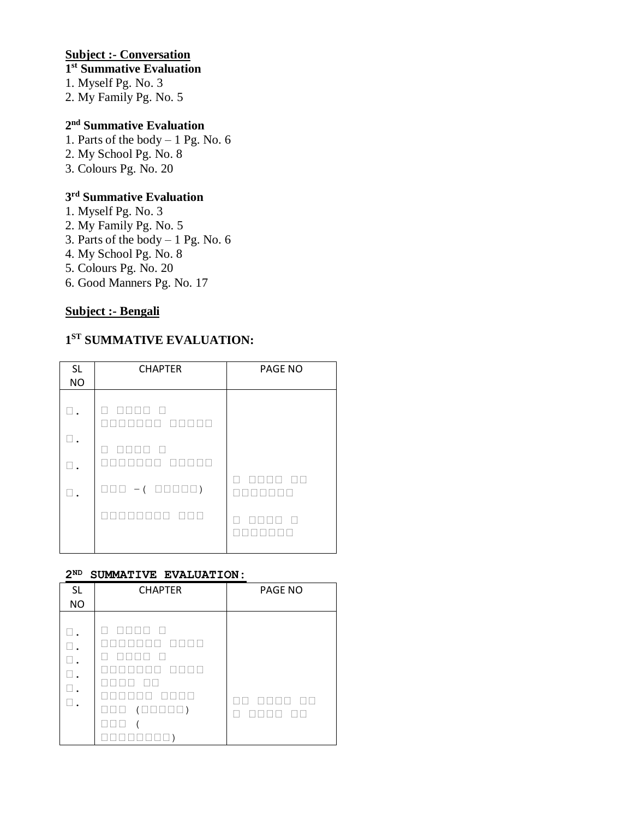## **Subject :- Conversation**

#### **st Summative Evaluation**

1. Myself Pg. No. 3

2. My Family Pg. No. 5

#### **nd Summative Evaluation**

- 1. Parts of the body 1 Pg. No. 6
- 2. My School Pg. No. 8
- 3. Colours Pg. No. 20

#### **rd Summative Evaluation**

- 1. Myself Pg. No. 3
- 2. My Family Pg. No. 5
- 3. Parts of the body  $-1$  Pg. No. 6
- 4. My School Pg. No. 8
- 5. Colours Pg. No. 20
- 6. Good Manners Pg. No. 17

## **Subject :- Bengali**

## **ST SUMMATIVE EVALUATION:**

| <b>SL</b><br><b>NO</b> | <b>CHAPTER</b>                            | <b>PAGE NO</b> |
|------------------------|-------------------------------------------|----------------|
|                        | $\Box$<br>$\mathbf{I}$                    |                |
|                        | E<br>$\overline{\phantom{a}}$             |                |
|                        | $\Box \Box \Box - (\Box \Box \Box \Box )$ |                |
|                        |                                           |                |

#### **ND SUMMATIVE EVALUATION:**

| <b>SL</b><br><b>NO</b>     | <b>CHAPTER</b>                                                                                                    | PAGE NO |
|----------------------------|-------------------------------------------------------------------------------------------------------------------|---------|
| ⊔.<br>Π.<br>$\Box$ .<br>⊔. | $\Box \Box \Box \Box$ )<br>$\overline{ }$<br>$\overline{\phantom{a}}$<br>$\overline{\phantom{a}}$<br>$\mathbf{1}$ |         |